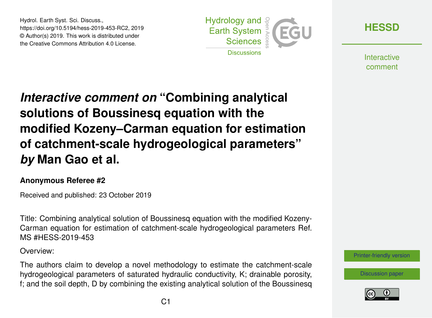Hydrol. Earth Syst. Sci. Discuss., https://doi.org/10.5194/hess-2019-453-RC2, 2019 © Author(s) 2019. This work is distributed under the Creative Commons Attribution 4.0 License.



**[HESSD](https://www.hydrol-earth-syst-sci-discuss.net/)**

**Interactive** comment

## *Interactive comment on* **"Combining analytical solutions of Boussinesq equation with the modified Kozeny–Carman equation for estimation of catchment-scale hydrogeological parameters"** *by* **Man Gao et al.**

## **Anonymous Referee #2**

Received and published: 23 October 2019

Title: Combining analytical solution of Boussinesq equation with the modified Kozeny-Carman equation for estimation of catchment-scale hydrogeological parameters Ref. MS #HESS-2019-453

Overview:

The authors claim to develop a novel methodology to estimate the catchment-scale hydrogeological parameters of saturated hydraulic conductivity, K; drainable porosity, f; and the soil depth, D by combining the existing analytical solution of the Boussinesq



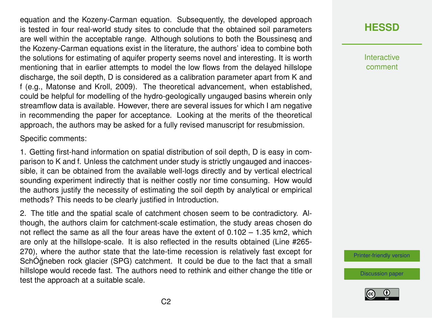equation and the Kozeny-Carman equation. Subsequently, the developed approach is tested in four real-world study sites to conclude that the obtained soil parameters are well within the acceptable range. Although solutions to both the Boussinesq and the Kozeny-Carman equations exist in the literature, the authors' idea to combine both the solutions for estimating of aquifer property seems novel and interesting. It is worth mentioning that in earlier attempts to model the low flows from the delayed hillslope discharge, the soil depth, D is considered as a calibration parameter apart from K and f (e.g., Matonse and Kroll, 2009). The theoretical advancement, when established, could be helpful for modelling of the hydro-geologically ungauged basins wherein only streamflow data is available. However, there are several issues for which I am negative in recommending the paper for acceptance. Looking at the merits of the theoretical approach, the authors may be asked for a fully revised manuscript for resubmission.

Specific comments:

1. Getting first-hand information on spatial distribution of soil depth, D is easy in comparison to K and f. Unless the catchment under study is strictly ungauged and inaccessible, it can be obtained from the available well-logs directly and by vertical electrical sounding experiment indirectly that is neither costly nor time consuming. How would the authors justify the necessity of estimating the soil depth by analytical or empirical methods? This needs to be clearly justified in Introduction.

2. The title and the spatial scale of catchment chosen seem to be contradictory. Although, the authors claim for catchment-scale estimation, the study areas chosen do not reflect the same as all the four areas have the extent of  $0.102 - 1.35$  km2, which are only at the hillslope-scale. It is also reflected in the results obtained (Line #265- 270), where the author state that the late-time recession is relatively fast except for SchÓğneben rock glacier (SPG) catchment. It could be due to the fact that a small hillslope would recede fast. The authors need to rethink and either change the title or test the approach at a suitable scale.

**[HESSD](https://www.hydrol-earth-syst-sci-discuss.net/)**

**Interactive** comment

[Printer-friendly version](https://www.hydrol-earth-syst-sci-discuss.net/hess-2019-453/hess-2019-453-RC2-print.pdf)

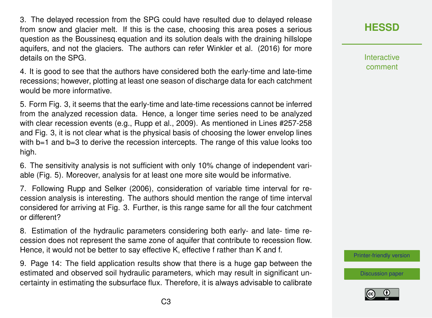3. The delayed recession from the SPG could have resulted due to delayed release from snow and glacier melt. If this is the case, choosing this area poses a serious question as the Boussinesq equation and its solution deals with the draining hillslope aquifers, and not the glaciers. The authors can refer Winkler et al. (2016) for more details on the SPG.

4. It is good to see that the authors have considered both the early-time and late-time recessions; however, plotting at least one season of discharge data for each catchment would be more informative.

5. Form Fig. 3, it seems that the early-time and late-time recessions cannot be inferred from the analyzed recession data. Hence, a longer time series need to be analyzed with clear recession events (e.g., Rupp et al., 2009). As mentioned in Lines #257-258 and Fig. 3, it is not clear what is the physical basis of choosing the lower envelop lines with b=1 and b=3 to derive the recession intercepts. The range of this value looks too high.

6. The sensitivity analysis is not sufficient with only 10% change of independent variable (Fig. 5). Moreover, analysis for at least one more site would be informative.

7. Following Rupp and Selker (2006), consideration of variable time interval for recession analysis is interesting. The authors should mention the range of time interval considered for arriving at Fig. 3. Further, is this range same for all the four catchment or different?

8. Estimation of the hydraulic parameters considering both early- and late- time recession does not represent the same zone of aquifer that contribute to recession flow. Hence, it would not be better to say effective K, effective f rather than K and f.

9. Page 14: The field application results show that there is a huge gap between the estimated and observed soil hydraulic parameters, which may result in significant uncertainty in estimating the subsurface flux. Therefore, it is always advisable to calibrate



**Interactive** comment

[Printer-friendly version](https://www.hydrol-earth-syst-sci-discuss.net/hess-2019-453/hess-2019-453-RC2-print.pdf)

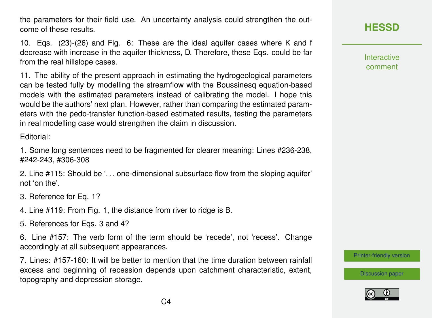the parameters for their field use. An uncertainty analysis could strengthen the outcome of these results.

10. Eqs. (23)-(26) and Fig. 6: These are the ideal aquifer cases where K and f decrease with increase in the aquifer thickness, D. Therefore, these Eqs. could be far from the real hillslope cases.

11. The ability of the present approach in estimating the hydrogeological parameters can be tested fully by modelling the streamflow with the Boussinesq equation-based models with the estimated parameters instead of calibrating the model. I hope this would be the authors' next plan. However, rather than comparing the estimated parameters with the pedo-transfer function-based estimated results, testing the parameters in real modelling case would strengthen the claim in discussion.

Editorial:

1. Some long sentences need to be fragmented for clearer meaning: Lines #236-238, #242-243, #306-308

2. Line #115: Should be '. . . one-dimensional subsurface flow from the sloping aquifer' not 'on the'.

3. Reference for Eq. 1?

4. Line #119: From Fig. 1, the distance from river to ridge is B.

5. References for Eqs. 3 and 4?

6. Line #157: The verb form of the term should be 'recede', not 'recess'. Change accordingly at all subsequent appearances.

7. Lines: #157-160: It will be better to mention that the time duration between rainfall excess and beginning of recession depends upon catchment characteristic, extent, topography and depression storage.

## **[HESSD](https://www.hydrol-earth-syst-sci-discuss.net/)**

Interactive comment

[Printer-friendly version](https://www.hydrol-earth-syst-sci-discuss.net/hess-2019-453/hess-2019-453-RC2-print.pdf)